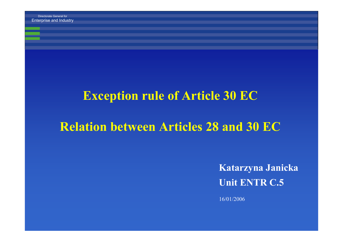Enterprise and Industry

#### **Exception rule of Article 30 EC**

### **Relation between Articles 28 and 30 EC**

**Katarzyna Janicka Unit ENTR C.5**

16/01/2006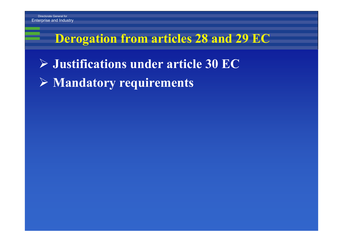### **Derogation from articles 28 and 29 EC**

- ¾ **Justifications under article 30 EC**
- ¾ **Mandatory requirements**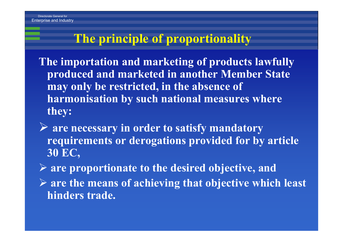## **The principle of proportionality**

**The importation and marketing of products lawfully produced and marketed in another Member State may only be restricted, in the absence of harmonisation by such national measures where they:**

¾ **are necessary in order to satisfy mandatory requirements or derogations provided for by article 30 EC,**

¾ **are proportionate to the desired objective, and** ¾ **are the means of achieving that objective which least hinders trade.**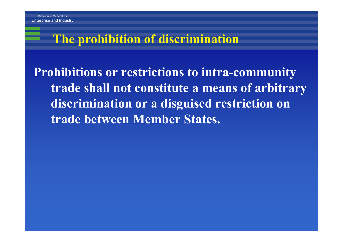### **The prohibition of discrimination**

**Prohibitions or restrictions to intra-community trade shall not constitute a means of arbitrary discrimination or a disguised restriction on trade between Member States.**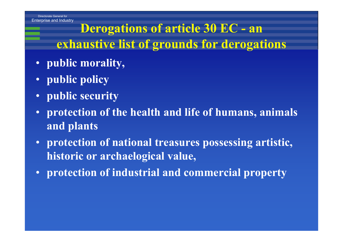Enterprise and Industry

## **Derogations of article 30 EC - an exhaustive list of grounds for derogations**

- **public morality,**
- **public policy**
- $\bullet$ **public security**
- $\bullet$  **protection of the health and life of humans, animals and plants**
- **protection of national treasures possessing artistic, historic or archaelogical value,**
- **protection of industrial and commercial property**